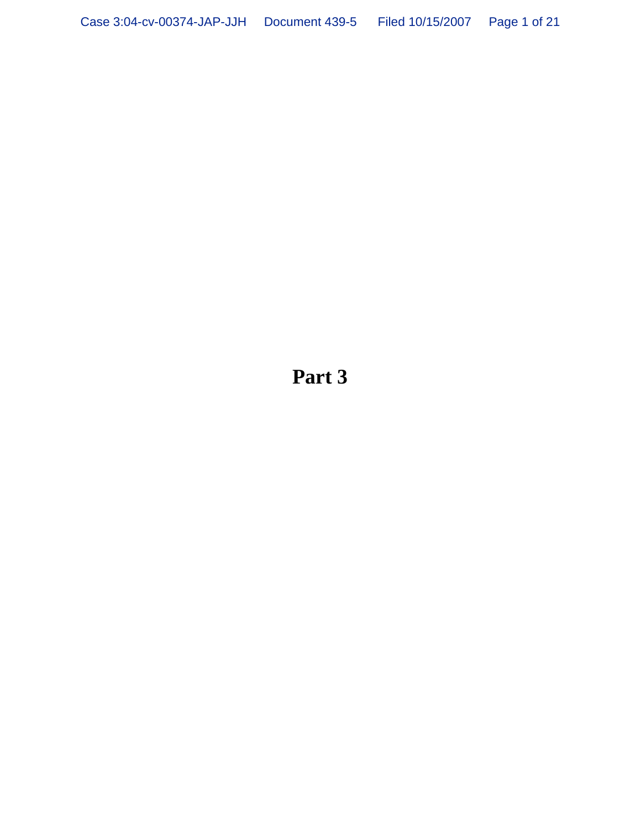**Part 3**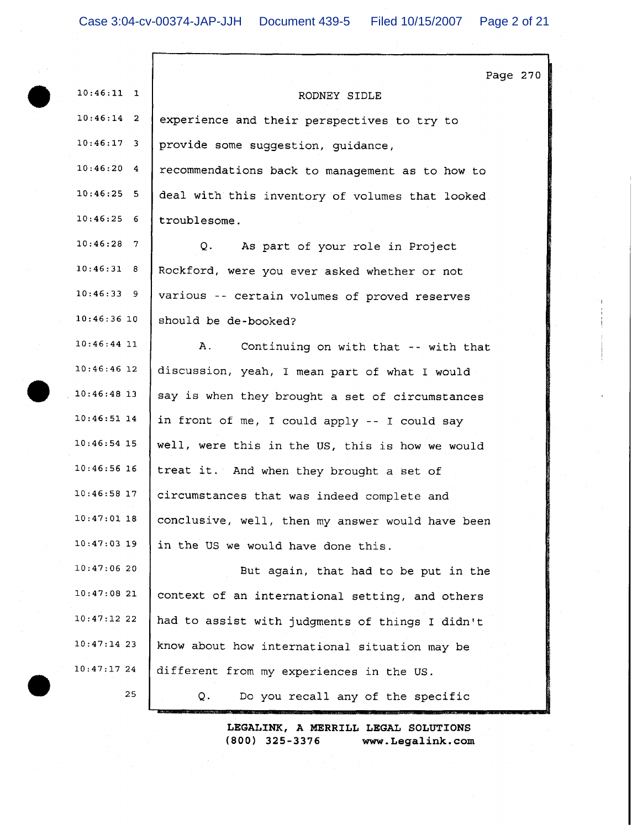|                             | Page 270                                         |
|-----------------------------|--------------------------------------------------|
| $10:46:11$ 1                | RODNEY SIDLE                                     |
| $10:46:14$ 2                | experience and their perspectives to try to      |
| $10:46:17$ 3                | provide some suggestion, guidance,               |
| $10:46:20$ 4                | recommendations back to management as to how to  |
| 10:46:25:5                  | deal with this inventory of volumes that looked  |
| 10:46:256                   | troublesome.                                     |
| 10:46:28<br>$7\overline{ }$ | Q.<br>As part of your role in Project            |
| 10:46:31 8                  | Rockford, were you ever asked whether or not     |
| 10:46:339                   | various -- certain volumes of proved reserves    |
| $10:46:36$ 10               | should be de-booked?                             |
| $10:46:44$ 11               | Α.<br>Continuing on with that -- with that       |
| $10:46:46$ 12               | discussion, yeah, I mean part of what I would    |
| $10:46:48$ 13               | say is when they brought a set of circumstances  |
| $10:46:51$ 14               | in front of me, I could apply -- I could say     |
| 10:46:54 15                 | well, were this in the US, this is how we would  |
| 10:46:56 16                 | treat it. And when they brought a set of         |
| $10:46:58$ 17               | circumstances that was indeed complete and       |
| 10:47:01 18                 | conclusive, well, then my answer would have been |
| $10:47:03$ 19               | in the US we would have done this.               |
| 10:47:0620                  | But again, that had to be put in the             |
| 10:47:0821                  | context of an international setting, and others. |
| 10:47:1222                  | had to assist with judgments of things I didn't  |
| $10:47:14$ 23               | know about how international situation may be    |
| $10:47:17$ 24               | different from my experiences in the US.         |
| 25                          | Do you recall any of the specific<br>Q.          |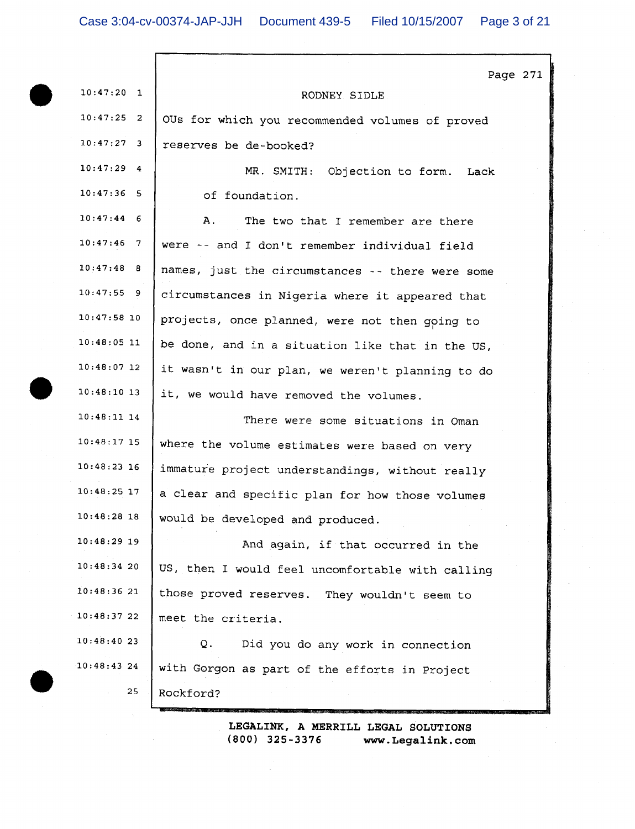|               | Page 271                                         |
|---------------|--------------------------------------------------|
| $10:47:20$ 1  | RODNEY SIDLE                                     |
| $10:47:25$ 2  | OUs for which you recommended volumes of proved  |
| $10:47:27$ 3  | reserves be de-booked?                           |
| $10:47:29$ 4  | MR. SMITH: Objection to form.<br>Lack            |
| $10:47:36$ 5  | of foundation.                                   |
| $10:47:44$ 6  | A.<br>The two that I remember are there          |
| $10:47:46$ 7  | were -- and I don't remember individual field    |
| $10:47:48$ 8  | names, just the circumstances -- there were some |
| $10:47:55$ 9  | circumstances in Nigeria where it appeared that  |
| $10:47:58$ 10 | projects, once planned, were not then going to   |
| $10:48:05$ 11 | be done, and in a situation like that in the US, |
| $10:48:07$ 12 | it wasn't in our plan, we weren't planning to do |
| $10:48:10$ 13 | it, we would have removed the volumes.           |
| $10:48:11$ 14 | There were some situations in Oman               |
| $10:48:17$ 15 | where the volume estimates were based on very    |
| $10:48:23$ 16 | immature project understandings, without really  |
| $10:48:25$ 17 | a clear and specific plan for how those volumes  |
| $10:48:28$ 18 | would be developed and produced.                 |
| $10:48:29$ 19 | And again, if that occurred in the               |
| 10:48:3420    | US, then I would feel uncomfortable with calling |
| 10:48:3621    | those proved reserves. They wouldn't seem to     |
| 10:48:37 22   | meet the criteria.                               |
| 10:48:4023    | Q.<br>Did you do any work in connection          |
| 10:48:43 24   | with Gorgon as part of the efforts in Project    |
| 25            | Rockford?                                        |
|               |                                                  |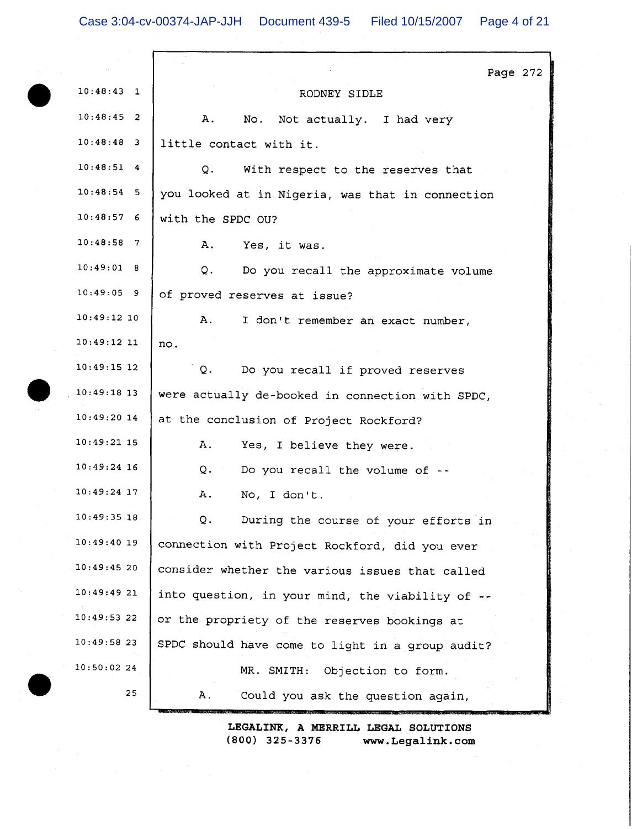|               | Page 272                                         |  |
|---------------|--------------------------------------------------|--|
| $10:48:43$ 1  | RODNEY SIDLE                                     |  |
| $10:48:45$ 2  | Α.<br>No. Not actually. I had very               |  |
| $10:48:48$ 3  | little contact with it.                          |  |
| $10:48:51$ 4  | Q.<br>With respect to the reserves that          |  |
| $10:48:54$ 5  | you looked at in Nigeria, was that in connection |  |
| 10:48:576     | with the SPDC OU?                                |  |
| $10:48:58$ 7  | Α.<br>Yes, it was.                               |  |
| 10:49:01 8    | Q.<br>Do you recall the approximate volume       |  |
| $10:49:05$ 9  | of proved reserves at issue?                     |  |
| $10:49:12$ 10 | Α.<br>I don't remember an exact number,          |  |
| $10:49:12$ 11 | no.                                              |  |
| $10:49:15$ 12 | Q.<br>Do you recall if proved reserves           |  |
| $10:49:18$ 13 | were actually de-booked in connection with SPDC, |  |
| $10:49:20$ 14 | at the conclusion of Project Rockford?           |  |
| $10:49:21$ 15 | Α.<br>Yes, I believe they were.                  |  |
| $10:49:24$ 16 | Q.<br>Do you recall the volume of --             |  |
| $10:49:24$ 17 | Α.<br>No, I don't.                               |  |
| $10:49:35$ 18 | Q.<br>During the course of your efforts in       |  |
| $10:49:40$ 19 | connection with Project Rockford, did you ever   |  |
| 10:49:4520    | consider whether the various issues that called  |  |
| $10:49:49$ 21 | into question, in your mind, the viability of -- |  |
| 10:49:5322    | or the propriety of the reserves bookings at     |  |
| 10:49:5823    | SPDC should have come to light in a group audit? |  |
| 10:50:0224    | MR. SMITH: Objection to form.                    |  |
| 25            | Α.<br>Could you ask the question again,          |  |
|               |                                                  |  |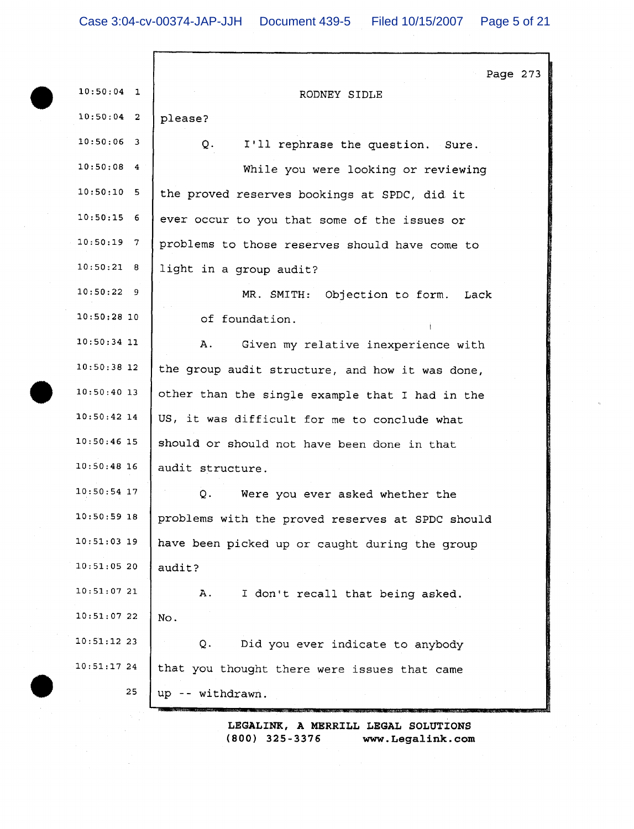|               | Page 273                                         |
|---------------|--------------------------------------------------|
| $10:50:04$ 1  | RODNEY SIDLE                                     |
| $10:50:04$ 2  | please?                                          |
| $10:50:06$ 3  | Q.<br>I'll rephrase the question. Sure.          |
| $10:50:08$ 4  | While you were looking or reviewing              |
| $10:50:10$ 5  | the proved reserves bookings at SPDC, did it     |
| $10:50:15$ 6  | ever occur to you that some of the issues or     |
| $10:50:19$ 7  | problems to those reserves should have come to   |
| 10:50:21 8    | light in a group audit?                          |
| $10:50:22$ 9  | MR. SMITH: Objection to form.<br>Lack            |
| $10:50:28$ 10 | of foundation.                                   |
| $10:50:34$ 11 | Α.<br>Given my relative inexperience with        |
| 10:50:38 12   | the group audit structure, and how it was done,  |
| $10:50:40$ 13 | other than the single example that I had in the  |
| $10:50:42$ 14 | US, it was difficult for me to conclude what     |
| $10:50:46$ 15 | should or should not have been done in that      |
| $10:50:48$ 16 | audit structure.                                 |
| $10:50:54$ 17 | Q.<br>Were you ever asked whether the            |
| $10:50:59$ 18 | problems with the proved reserves at SPDC should |
| $10:51:03$ 19 | have been picked up or caught during the group   |
| 10:51:0520    | audit?                                           |
| 10:51:0721    | Α.<br>I don't recall that being asked.           |
| 10:51:0722    | No.                                              |
| $10:51:12$ 23 | Did you ever indicate to anybody<br>Q.           |
| 10:51:1724    | that you thought there were issues that came     |
| 25            | up -- withdrawn.                                 |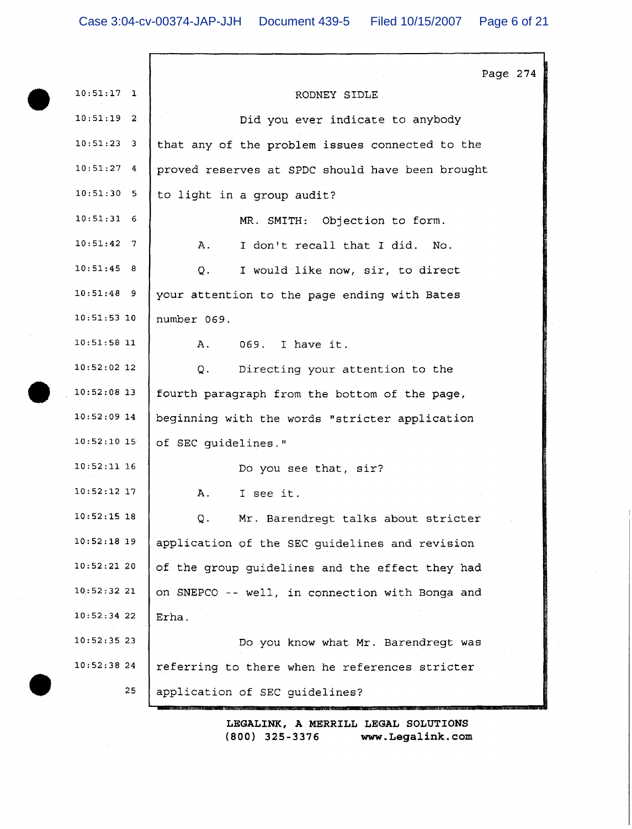|               | Page 274                                         |
|---------------|--------------------------------------------------|
| $10:51:17$ 1  | RODNEY SIDLE                                     |
| $10:51:19$ 2  | Did you ever indicate to anybody                 |
| $10:51:23$ 3  | that any of the problem issues connected to the  |
| $10:51:27$ 4  | proved reserves at SPDC should have been brought |
| $10:51:30$ 5  | to light in a group audit?                       |
| $10:51:31$ 6  | MR. SMITH: Objection to form.                    |
| $10:51:42$ 7  | I don't recall that I did. No.<br>Α.             |
| 10:51:45 8    | I would like now, sir, to direct<br>Q.           |
| $10:51:48$ 9  | your attention to the page ending with Bates     |
| $10:51:53$ 10 | number 069.                                      |
| $10:51:58$ 11 | Α.<br>069. I have it.                            |
| $10:52:02$ 12 | Directing your attention to the<br>Q.            |
| $10:52:08$ 13 | fourth paragraph from the bottom of the page,    |
| $10:52:09$ 14 | beginning with the words "stricter application   |
| 10:52:10:15   | of SEC guidelines."                              |
| $10:52:11$ 16 | Do you see that, sir?                            |
| $10:52:12$ 17 | I see it.<br>Α.                                  |
| $10:52:15$ 18 | Mr. Barendregt talks about stricter<br>О.        |
| $10:52:18$ 19 | application of the SEC guidelines and revision   |
| $10:52:21$ 20 | of the group guidelines and the effect they had  |
| 10:52:3221    | on SNEPCO -- well, in connection with Bonga and  |
| $10:52:34$ 22 | Erha.                                            |
| 10:52:3523    | Do you know what Mr. Barendregt was              |
| 10:52:3824    | referring to there when he references stricter   |
| 25            | application of SEC guidelines?                   |
|               |                                                  |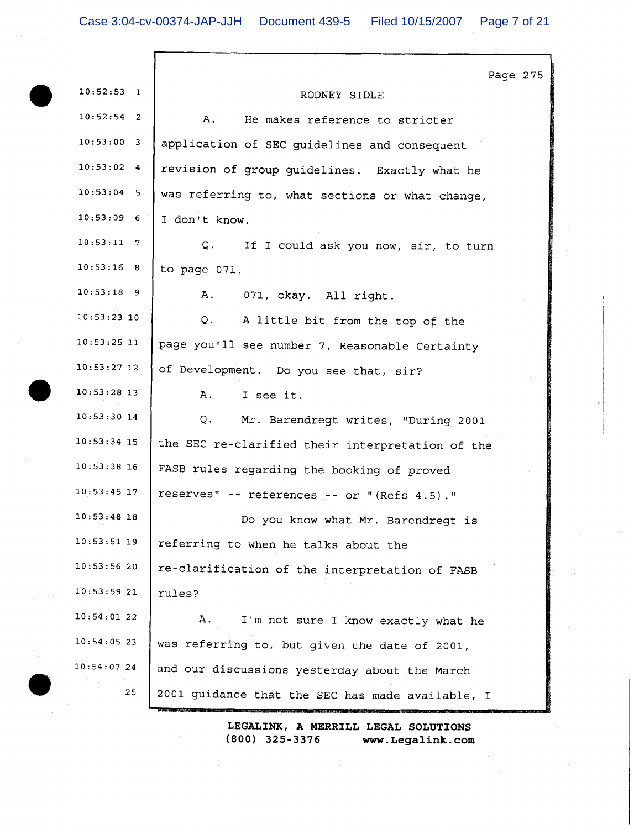|               | Page 275                                         |
|---------------|--------------------------------------------------|
| $10:52:53$ 1  | RODNEY SIDLE                                     |
| $10:52:54$ 2  | Α.<br>He makes reference to stricter             |
| $10:53:00$ 3  | application of SEC guidelines and consequent     |
| 10:53:024     | revision of group guidelines. Exactly what he    |
| $10:53:04$ 5  | was referring to, what sections or what change,  |
| $10:53:09$ 6  | I don't know.                                    |
| $10:53:11$ 7  | Q.<br>If I could ask you now, sir, to turn       |
| 10:53:16 8    | to page 071.                                     |
| $10:53:18$ 9  | A.<br>071, okay. All right.                      |
| 10:53:23:10   | Q. A little bit from the top of the              |
| $10:53:25$ 11 | page you'll see number 7, Reasonable Certainty   |
| $10:53:27$ 12 | of Development. Do you see that, sir?            |
| $10:53:28$ 13 | A.,<br>I see it.                                 |
| $10:53:30$ 14 | Q.<br>Mr. Barendregt writes, "During 2001        |
| $10:53:34$ 15 | the SEC re-clarified their interpretation of the |
| $10:53:38$ 16 | FASB rules regarding the booking of proved       |
| $10:53:45$ 17 | reserves" -- references -- or "(Refs 4.5)."      |
| $10:53:48$ 18 | Do you know what Mr. Barendregt is               |
| $10:53:51$ 19 | referring to when he talks about the             |
| 10:53:5620    | re-clarification of the interpretation of FASB   |
| 10:53:5921    | rules?                                           |
| 10:54:0122    | Α.<br>I'm not sure I know exactly what he        |
| $10:54:05$ 23 | was referring to, but given the date of 2001,    |
| 10:54:0724    | and our discussions yesterday about the March    |
| 25            | 2001 guidance that the SEC has made available, I |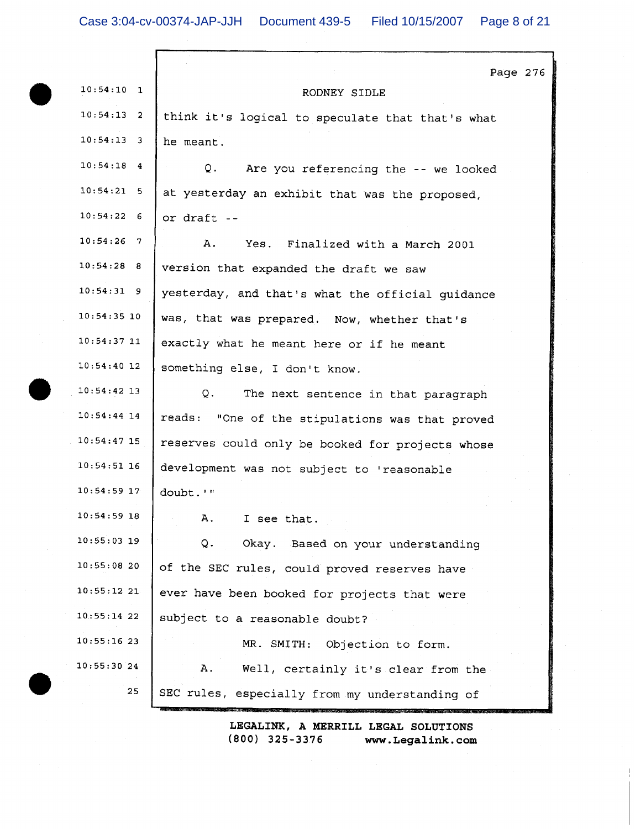|               | Page 276                                         |
|---------------|--------------------------------------------------|
| $10:54:10$ 1  | RODNEY SIDLE                                     |
| $10:54:13$ 2  | think it's logical to speculate that that's what |
| $10:54:13$ 3  | he meant.                                        |
| $10:54:18$ 4  | Q.<br>Are you referencing the -- we looked       |
| 10:54:21:5    | at yesterday an exhibit that was the proposed,   |
| 10:54:226     | or draft --                                      |
| $10:54:26$ 7  | Α.<br>Yes. Finalized with a March 2001           |
| 10:54:28 8    | version that expanded the draft we saw           |
| $10:54:31$ 9  | yesterday, and that's what the official guidance |
| $10:54:35$ 10 | was, that was prepared. Now, whether that's      |
| $10:54:37$ 11 | exactly what he meant here or if he meant        |
| $10:54:40$ 12 | something else, I don't know.                    |
| $10:54:42$ 13 | $\circ$ .<br>The next sentence in that paragraph |
| $10:54:44$ 14 | reads: "One of the stipulations was that proved  |
| $10:54:47$ 15 | reserves could only be booked for projects whose |
| $10:54:51$ 16 | development was not subject to 'reasonable       |
| 10:54:59 17   | doubt.'"                                         |
| $10:54:59$ 18 | Α.<br>I see that.                                |
| $10:55:03$ 19 | Q.<br>Okay. Based on your understanding          |
| 10:55:0820    | of the SEC rules, could proved reserves have     |
| 10:55:1221    | ever have been booked for projects that were     |
| 10:55:14 22   | subject to a reasonable doubt?                   |
| 10:55:1623    | MR. SMITH: Objection to form.                    |
| 10:55:30.24   | Α.<br>Well, certainly it's clear from the        |
| 25            | SEC rules, especially from my understanding of   |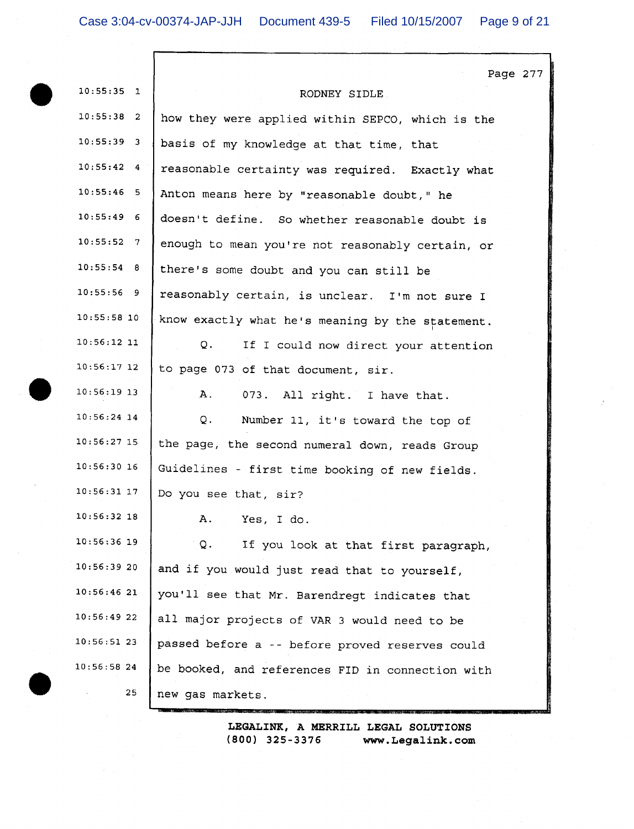Г

|                    | Page 277                                         |
|--------------------|--------------------------------------------------|
| $10:55:35$ 1       | RODNEY SIDLE                                     |
| $10:55:38$ 2       | how they were applied within SEPCO, which is the |
| $10:55:39$ 3       | basis of my knowledge at that time, that         |
| 10:55:424          | reasonable certainty was required. Exactly what  |
| $10:55:46$ 5       | Anton means here by "reasonable doubt," he       |
| $10:55:49$ 6       | doesn't define. So whether reasonable doubt is   |
| $10:55:52 \quad 7$ | enough to mean you're not reasonably certain, or |
| 10:55:54 8         | there's some doubt and you can still be          |
| $10:55:56$ 9       | reasonably certain, is unclear. I'm not sure I   |
| $10:55:58$ 10      | know exactly what he's meaning by the statement. |
| $10:56:12$ 11      | Q.<br>If I could now direct your attention       |
| $10:56:17$ 12      | to page 073 of that document, sir.               |
| 10:56:19 13        | А.<br>073. All right. I have that.               |
| $10:56:24$ 14      | Q.<br>Number 11, it's toward the top of          |
| $10:56:27$ 15      | the page, the second numeral down, reads Group   |
| $10:56:30$ 16      | Guidelines - first time booking of new fields.   |
| $10:56:31$ 17      | Do you see that, sir?                            |
| $10:56:32$ 18      | Α.<br>Yes, I do.                                 |
| $10:56:36$ 19      | If you look at that first paragraph,<br>Q.       |
| 10:56:3920         | and if you would just read that to yourself,     |
| 10:56:4621         | you'll see that Mr. Barendregt indicates that    |
| 10:56:4922         | all major projects of VAR 3 would need to be     |
| 10:56:5123         | passed before a -- before proved reserves could  |
| 10:56:5824         | be booked, and references FID in connection with |
| 25                 | new gas markets.                                 |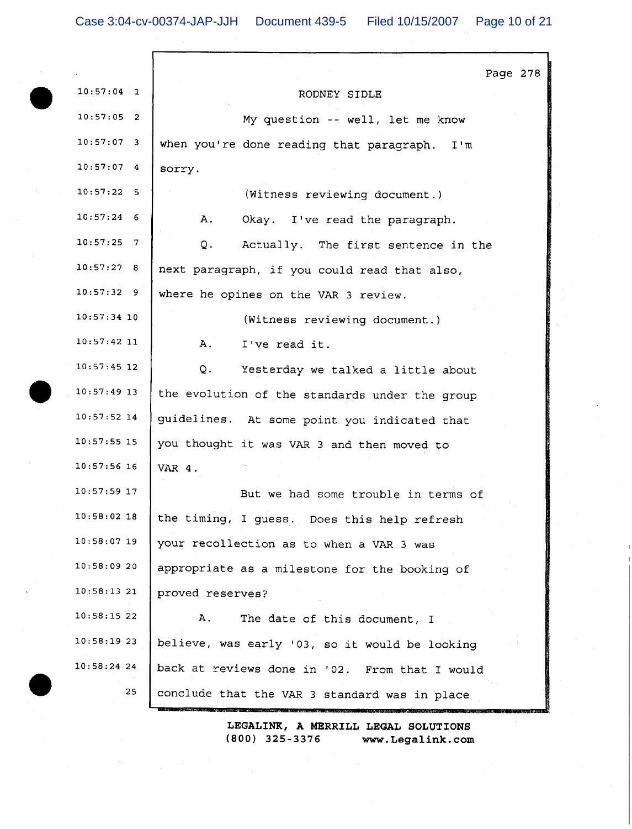|               | Page 278                                       |
|---------------|------------------------------------------------|
| $10:57:04$ 1  | RODNEY SIDLE                                   |
| $10:57:05$ 2  | My question -- well, let me know               |
| $10:57:07$ 3  | when you're done reading that paragraph. I'm   |
| 10:57:074     | sorry.                                         |
| 10:57:22:5    | (Witness reviewing document.)                  |
| $10:57:24$ 6  | Α.<br>Okay. I've read the paragraph.           |
| $10:57:25$ 7  | Q.<br>Actually. The first sentence in the      |
| 10:57:27 8    | next paragraph, if you could read that also,   |
| $10:57:32$ 9  | where he opines on the VAR 3 review.           |
| $10:57:34$ 10 | (Witness reviewing document.)                  |
| $10:57:42$ 11 | A.<br>I've read it.                            |
| $10:57:45$ 12 | Q.<br>Yesterday we talked a little about       |
| $10:57:49$ 13 | the evolution of the standards under the group |
| $10:57:52$ 14 | guidelines. At some point you indicated that   |
| $10:57:55$ 15 | you thought it was VAR 3 and then moved to     |
| $10:57:56$ 16 | VAR 4.                                         |
| $10:57:59$ 17 | But we had some trouble in terms of            |
| $10:58:02$ 18 | the timing, I guess. Does this help refresh    |
| $10:58:07$ 19 | your recollection as to when a VAR 3 was       |
| 10:58:0920    | appropriate as a milestone for the booking of  |
| 10:58:1321    | proved reserves?                               |
| 10:58:1522    | Α.<br>The date of this document, I             |
| 10:58:1923    | believe, was early '03, so it would be looking |
| $10:58:24$ 24 | back at reviews done in '02. From that I would |
| 25            | conclude that the VAR 3 standard was in place  |
|               |                                                |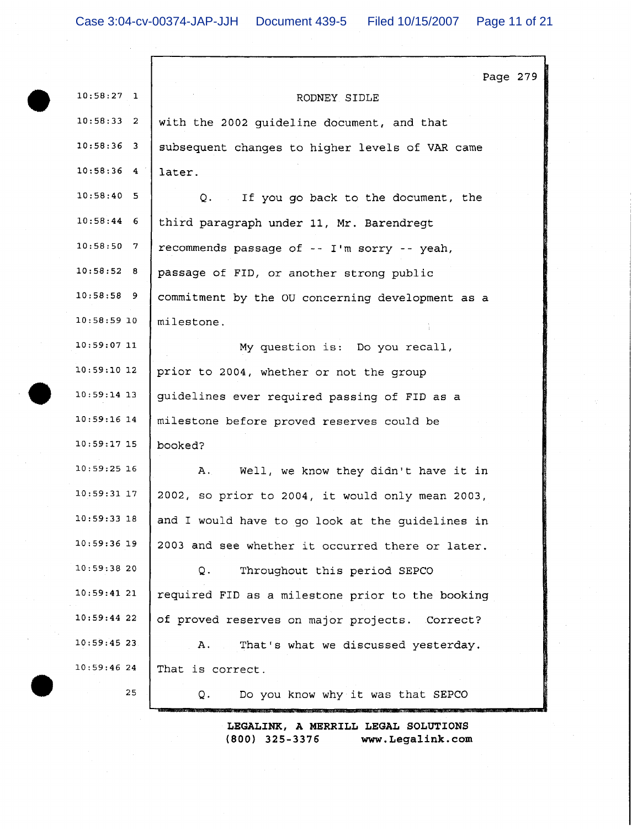| $10:58:27$ 1  | Page 279<br>RODNEY SIDLE                         |
|---------------|--------------------------------------------------|
| $10:58:33$ 2  | with the 2002 guideline document, and that       |
| $10:58:36$ 3  | subsequent changes to higher levels of VAR came  |
| $10:58:36$ 4  | later.                                           |
| $10:58:40$ 5  | Q. If you go back to the document, the           |
| $10:58:44$ 6  | third paragraph under 11, Mr. Barendregt         |
| $10:58:50$ 7  | recommends passage of -- I'm sorry -- yeah,      |
| 10:58:52 8    | passage of FID, or another strong public         |
| $10:58:58$ 9  | commitment by the OU concerning development as a |
| $10:58:59$ 10 | milestone.                                       |
| $10:59:07$ 11 | My question is: Do you recall,                   |
| $10:59:10$ 12 | prior to 2004, whether or not the group          |
| $10:59:14$ 13 | guidelines ever required passing of FID as a     |
| $10:59:16$ 14 | milestone before proved reserves could be        |
| $10:59:17$ 15 | booked?                                          |
| $10:59:25$ 16 | Well, we know they didn't have it in<br>Α.       |
| $10:59:31$ 17 | 2002, so prior to 2004, it would only mean 2003, |
| $10:59:33$ 18 | and I would have to go look at the guidelines in |
| 10:59:36 19   | 2003 and see whether it occurred there or later. |
| 10:59:3820    | Throughout this period SEPCO<br>Q.               |
| 10:59:4121    | required FID as a milestone prior to the booking |
| 10:59:4422    | of proved reserves on major projects. Correct?   |
| $10:59:45$ 23 | That's what we discussed yesterday.<br>A.,       |
| 10:59:4624    | That is correct.                                 |
| 25            | Do you know why it was that SEPCO<br>Q.          |
|               |                                                  |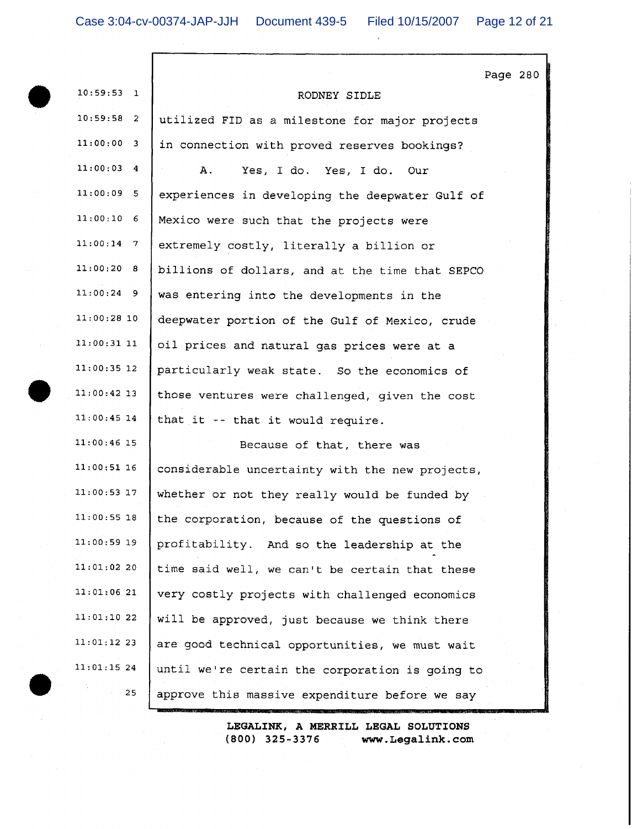Г

 $\mathcal{L}$ 

|               |                                                 | Page 280 |  |
|---------------|-------------------------------------------------|----------|--|
| $10:59:53$ 1  | RODNEY SIDLE                                    |          |  |
| $10:59:58$ 2  | utilized FID as a milestone for major projects  |          |  |
| 11:00:00 3    | in connection with proved reserves bookings?    |          |  |
| $11:00:03$ 4  | Α.<br>Yes, I do. Yes, I do. Our                 |          |  |
| $11:00:09$ 5  | experiences in developing the deepwater Gulf of |          |  |
| $11:00:10$ 6  | Mexico were such that the projects were         |          |  |
| $11:00:14$ 7  | extremely costly, literally a billion or        |          |  |
| 11:00:20 8    | billions of dollars, and at the time that SEPCO |          |  |
| $11:00:24$ 9  | was entering into the developments in the       |          |  |
| $11:00:28$ 10 | deepwater portion of the Gulf of Mexico, crude  |          |  |
| $11:00:31$ 11 | oil prices and natural gas prices were at a     |          |  |
| $11:00:35$ 12 | particularly weak state. So the economics of    |          |  |
| $11:00:42$ 13 | those ventures were challenged, given the cost  |          |  |
| $11:00:45$ 14 | that it -- that it would require.               |          |  |
| $11:00:46$ 15 | Because of that, there was                      |          |  |
| $11:00:51$ 16 | considerable uncertainty with the new projects, |          |  |
| $11:00:53$ 17 | whether or not they really would be funded by   |          |  |
| $11:00:55$ 18 | the corporation, because of the questions of    |          |  |
| $11:00:59$ 19 | profitability. And so the leadership at the     |          |  |
| $11:01:02$ 20 | time said well, we can't be certain that these  |          |  |
| 11:01:0621    | very costly projects with challenged economics  |          |  |
| 11:01:1022    | will be approved, just because we think there   |          |  |
| $11:01:12$ 23 | are good technical opportunities, we must wait  |          |  |
| $11:01:15$ 24 | until we're certain the corporation is going to |          |  |
| 25            | approve this massive expenditure before we say  |          |  |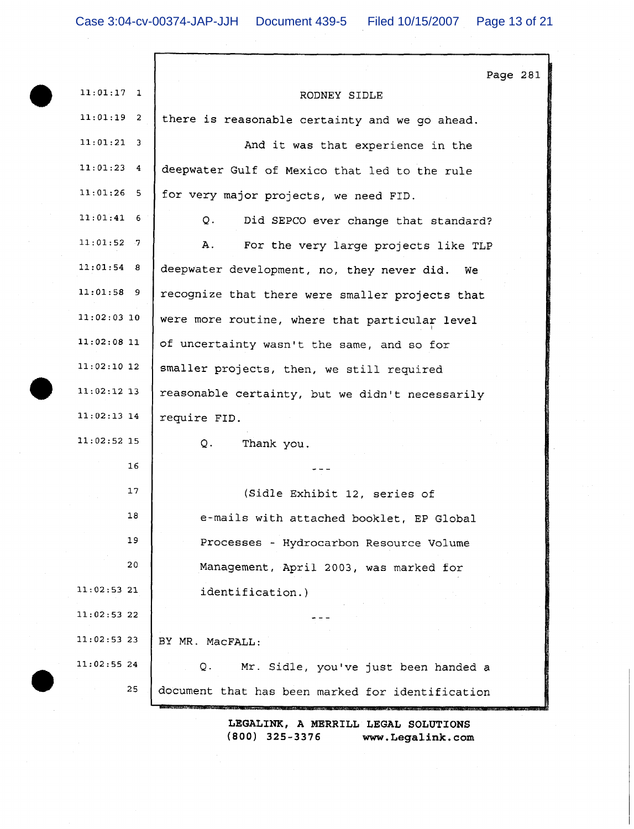$\Gamma$ 

|               | Page 281                                         |
|---------------|--------------------------------------------------|
| $11:01:17$ 1  | RODNEY SIDLE                                     |
| $11:01:19$ 2  | there is reasonable certainty and we go ahead.   |
| $11:01:21$ 3  | And it was that experience in the                |
| $11:01:23$ 4  | deepwater Gulf of Mexico that led to the rule    |
| $11:01:26$ 5  | for very major projects, we need FID.            |
| $11:01:41$ 6  | Q.<br>Did SEPCO ever change that standard?       |
| $11:01:52$ 7  | Α.<br>For the very large projects like TLP       |
| $11:01:54$ 8  | deepwater development, no, they never did.<br>We |
| $11:01:58$ 9  | recognize that there were smaller projects that  |
| $11:02:03$ 10 | were more routine, where that particular level   |
| $11:02:08$ 11 | of uncertainty wasn't the same, and so for       |
| $11:02:10$ 12 | smaller projects, then, we still required        |
| $11:02:12$ 13 | reasonable certainty, but we didn't necessarily  |
| $11:02:13$ 14 | require FID.                                     |
| $11:02:52$ 15 | Q.<br>Thank you.                                 |
| 16            |                                                  |
| 17            | (Sidle Exhibit 12, series of                     |
| 18            | e-mails with attached booklet, EP Global         |
| 19            | Processes - Hydrocarbon Resource Volume          |
| 20            | Management, April 2003, was marked for           |
| 11:02:53 21   | identification.)                                 |
| $11:02:53$ 22 |                                                  |
| $11:02:53$ 23 | BY MR. MacFALL:                                  |
| $11:02:55$ 24 | Mr. Sidle, you've just been handed a<br>О.       |
| 25            | document that has been marked for identification |
|               | LEGALINK. A MERRILL LEGAL SOLUTIONS              |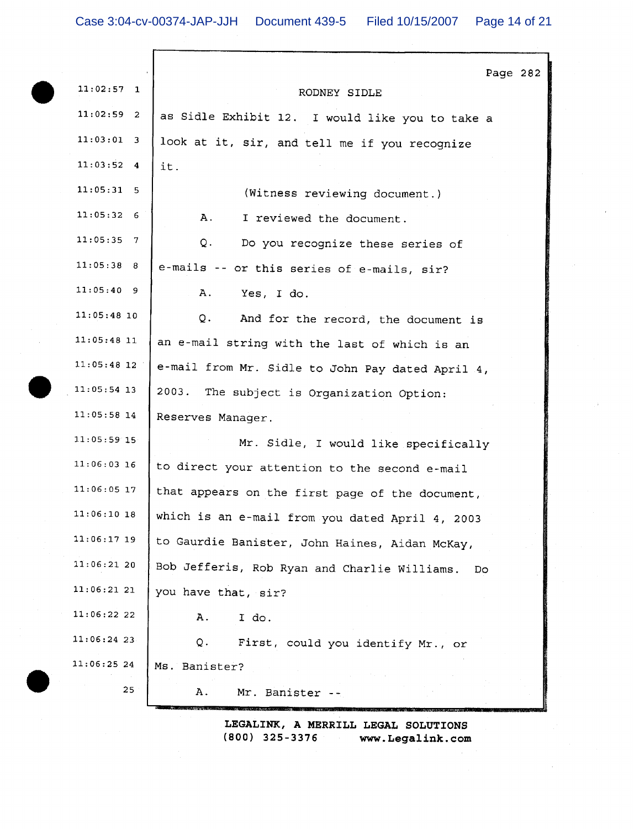|               | Page 282                                           |
|---------------|----------------------------------------------------|
| $11:02:57$ 1  | RODNEY SIDLE                                       |
| $11:02:59$ 2  | as Sidle Exhibit 12. I would like you to take a    |
| $11:03:01$ 3  | look at it, sir, and tell me if you recognize      |
| $11:03:52$ 4  | it.                                                |
| $11:05:31$ 5  | (Witness reviewing document.)                      |
| 11:05:326     | Α.<br>I reviewed the document.                     |
| $11:05:35$ 7  | Q.<br>Do you recognize these series of             |
| 11:05:38 8    | e-mails -- or this series of e-mails, sir?         |
| $11:05:40$ 9  | Α.<br>Yes, I do.                                   |
| $11:05:48$ 10 | Q.<br>And for the record, the document is          |
| $11:05:48$ 11 | an e-mail string with the last of which is an      |
| $11:05:48$ 12 | e-mail from Mr. Sidle to John Pay dated April 4,   |
| $11:05:54$ 13 | 2003. The subject is Organization Option:          |
| $11:05:58$ 14 | Reserves Manager.                                  |
| $11:05:59$ 15 | Mr. Sidle, I would like specifically               |
| $11:06:03$ 16 | to direct your attention to the second e-mail      |
| $11:06:05$ 17 | that appears on the first page of the document,    |
| $11:06:10$ 18 | which is an e-mail from you dated April 4, 2003    |
| 11:06:17 19   | to Gaurdie Banister, John Haines, Aidan McKay,     |
| 11:06:21 20   | Bob Jefferis, Rob Ryan and Charlie Williams.<br>Do |
| 11:06:21 21   | you have that, sir?                                |
| 11:06:22 22   | I do.<br>Α.                                        |
| $11:06:24$ 23 | Q.<br>First, could you identify Mr., or            |
| 11:06:25 24   | Ms. Banister?                                      |
| 25            | Mr. Banister --<br>Α.                              |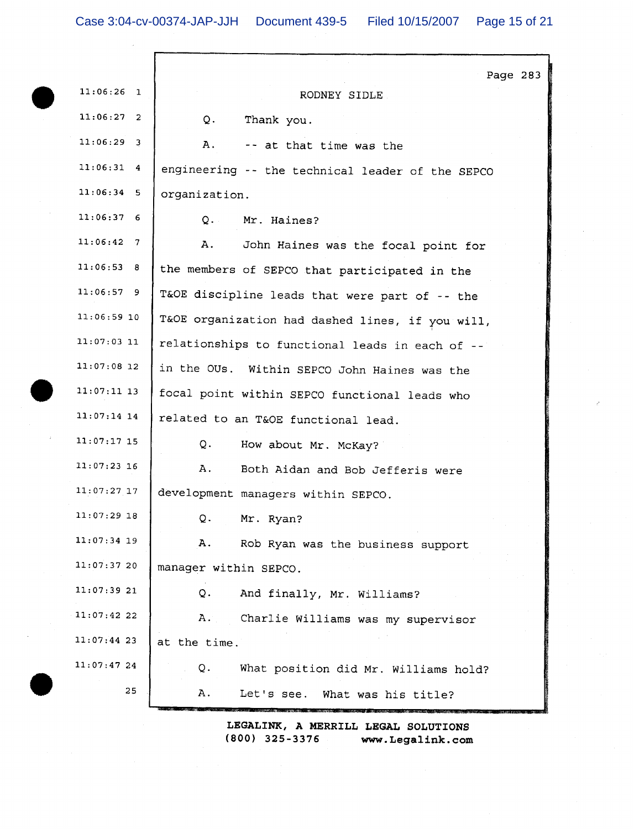| $11:06:26$ 1  | Page 283<br>RODNEY SIDLE                         |
|---------------|--------------------------------------------------|
| $11:06:27$ 2  | $Q_{+}$<br>Thank you.                            |
| $11:06:29$ 3  |                                                  |
|               | Α.<br>-- at that time was the                    |
| $11:06:31$ 4  | engineering -- the technical leader of the SEPCO |
| $11:06:34$ 5  | organization.                                    |
| 11:06:376     | $Q_{\star}$<br>Mr. Haines?                       |
| $11:06:42$ 7  | Α.<br>John Haines was the focal point for        |
| 11:06:53 8    | the members of SEPCO that participated in the    |
| $11:06:57$ 9  | T&OE discipline leads that were part of -- the   |
| $11:06:59$ 10 | T&OE organization had dashed lines, if you will, |
| 11:07:03 11   | relationships to functional leads in each of --  |
| $11:07:08$ 12 | in the OUs. Within SEPCO John Haines was the     |
| $11:07:11$ 13 | focal point within SEPCO functional leads who    |
| $11:07:14$ 14 | related to an T&OE functional lead.              |
| $11:07:17$ 15 | Q.<br>How about Mr. McKay?                       |
| $11:07:23$ 16 | Α.<br>Both Aidan and Bob Jefferis were           |
| 11:07:27 17   | development managers within SEPCO.               |
| $11:07:29$ 18 | Mr. Ryan?<br>O.                                  |
| $11:07:34$ 19 | Α.<br>Rob Ryan was the business support          |
| 11:07:37 20   | manager within SEPCO.                            |
| 11:07:39 21   | And finally, Mr. Williams?<br>Q.                 |
| 11:07:42 22   | Α.<br>Charlie Williams was my supervisor         |
| 11:07:44 23   | at the time.                                     |
| 11:07:4724    | Q.<br>What position did Mr. Williams hold?       |
| 25            | Α.<br>Let's see. What was his title?             |
|               |                                                  |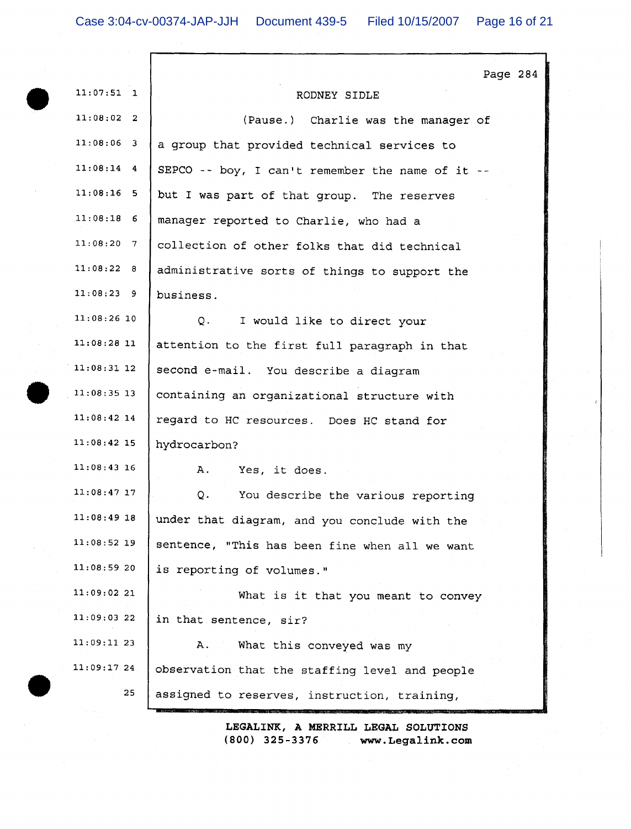г

|                             | Page 284                                         |
|-----------------------------|--------------------------------------------------|
| $11:07:51$ 1                | RODNEY SIDLE                                     |
| 11:08:02 2                  | (Pause.) Charlie was the manager of              |
| $11:08:06$ 3                | a group that provided technical services to      |
| $11:08:14$ 4                | SEPCO -- boy, I can't remember the name of it -- |
| $11:08:16$ 5                | but I was part of that group. The reserves       |
| 11:08:18<br>- 6             | manager reported to Charlie, who had a           |
| 11:08:20<br>$7\overline{ }$ | collection of other folks that did technical     |
| 11:08:22 8                  | administrative sorts of things to support the    |
| 11:08:23 9                  | business.                                        |
| $11:08:26$ 10               | I would like to direct your<br>Q.                |
| 11:08:28 11                 | attention to the first full paragraph in that    |
| $11:08:31$ 12               | second e-mail. You describe a diagram            |
| 11:08:35 13                 | containing an organizational structure with      |
| 11:08:42 14                 | regard to HC resources. Does HC stand for        |
| 11:08:42 15                 | hydrocarbon?                                     |
| $11:08:43$ 16               | $\mathbf{A}$ .<br>Yes, it does.                  |
| 11:08:47 17                 | Q.<br>You describe the various reporting         |
| 11:08:49 18                 | under that diagram, and you conclude with the    |
| 11:08:52 19                 | sentence, "This has been fine when all we want   |
| 11:08:59.20                 | is reporting of volumes."                        |
| $11:09:02$ 21               | What is it that you meant to convey              |
| 11:09:03 22                 | in that sentence, sir?                           |
| 11:09:11 23                 | Α.<br>What this conveyed was my                  |
| 11:09:17 24                 | observation that the staffing level and people   |
| 25                          | assigned to reserves, instruction, training,     |
|                             |                                                  |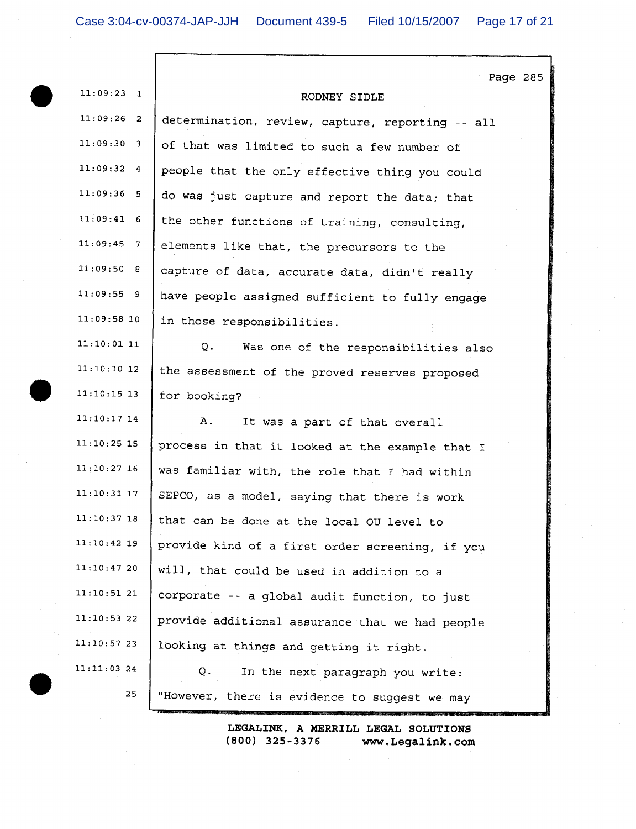|               | Page 285                                         |
|---------------|--------------------------------------------------|
| $11:09:23$ 1  | RODNEY SIDLE                                     |
| $11:09:26$ 2  | determination, review, capture, reporting -- all |
| $11:09:30$ 3  | of that was limited to such a few number of      |
| $11:09:32$ 4  | people that the only effective thing you could   |
| $11:09:36$ 5  | do was just capture and report the data; that    |
| $11:09:41$ 6  | the other functions of training, consulting,     |
| $11:09:45$ 7  | elements like that, the precursors to the        |
| 11:09:50 8    | capture of data, accurate data, didn't really    |
| 11:09:559     | have people assigned sufficient to fully engage  |
| $11:09:58$ 10 | in those responsibilities.                       |
| $11:10:01$ 11 | Q.<br>Was one of the responsibilities also       |
| $11:10:10$ 12 | the assessment of the proved reserves proposed   |
| $11:10:15$ 13 | for booking?                                     |
| $11:10:17$ 14 | Α.<br>It was a part of that overall              |
| $11:10:25$ 15 | process in that it looked at the example that I  |
| $11:10:27$ 16 | was familiar with, the role that I had within    |
| $11:10:31$ 17 | SEPCO, as a model, saying that there is work     |
| 11:10:37 18   | that can be done at the local OU level to        |
| 11:10:42 19   | provide kind of a first order screening, if you  |
| 11:10:4720    | will, that could be used in addition to a        |
| 11:10:5121    | corporate -- a global audit function, to just    |
| $11:10:53$ 22 | provide additional assurance that we had people  |
| 11:10:5723    | looking at things and getting it right.          |
| $11:11:03$ 24 | Q.<br>In the next paragraph you write:           |
| 25            | "However, there is evidence to suggest we may    |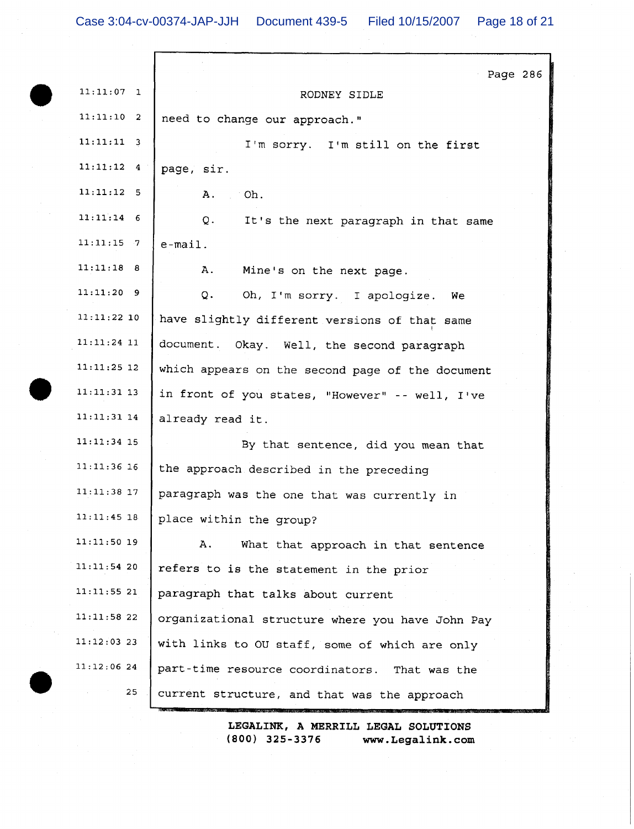| $11:11:07$ 1  | Page 286<br>RODNEY SIDLE                         |
|---------------|--------------------------------------------------|
| $11:11:10$ 2  | need to change our approach."                    |
| $11:11:11$ 3  | I'm sorry. I'm still on the first                |
| $11:11:12$ 4  | page, sir.                                       |
| $11:11:12$ 5  | Α.<br>Oh.                                        |
| $11:11:14$ 6  | Q.<br>It's the next paragraph in that same       |
| $11:11:15$ 7  | $e$ -mail.                                       |
| 11:11:18 8    | Α.<br>Mine's on the next page.                   |
| $11:11:20$ 9  | Q.<br>Oh, I'm sorry. I apologize.<br><b>We</b>   |
| 11:11:22 10   | have slightly different versions of that same    |
| $11:11:24$ 11 | document. Okay. Well, the second paragraph       |
| $11:11:25$ 12 | which appears on the second page of the document |
| $11:11:31$ 13 | in front of you states, "However" -- well, I've  |
| $11:11:31$ 14 | already read it.                                 |
| $11:11:34$ 15 | By that sentence, did you mean that              |
| $11:11:36$ 16 | the approach described in the preceding          |
| $11:11:38$ 17 | paragraph was the one that was currently in      |
| $11:11:45$ 18 | place within the group?                          |
| $11:11:50$ 19 | Α.<br>What that approach in that sentence        |
| 11:11:54 20   | refers to is the statement in the prior          |
| 11:11:55 21   | paragraph that talks about current               |
| 11:11:5822    | organizational structure where you have John Pay |
| $11:12:03$ 23 | with links to OU staff, some of which are only   |
| 11:12:0624    | part-time resource coordinators. That was the    |
| 25            | current structure, and that was the approach     |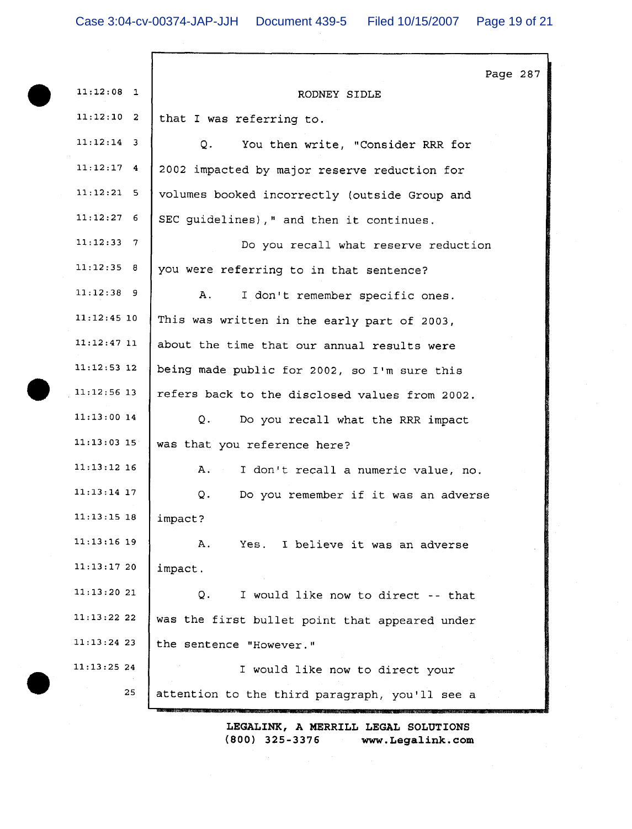Γ

| $11:12:08$ 1<br>RODNEY SIDLE                                    |  |
|-----------------------------------------------------------------|--|
|                                                                 |  |
| $11:12:10$ 2<br>that I was referring to.                        |  |
| $11:12:14$ 3<br>You then write, "Consider RRR for<br>Q.         |  |
| $11:12:17$ 4<br>2002 impacted by major reserve reduction for    |  |
| $11:12:21$ 5<br>volumes booked incorrectly (outside Group and   |  |
| $11:12:27$ 6<br>SEC guidelines), " and then it continues.       |  |
| $11:12:33$ 7<br>Do you recall what reserve reduction            |  |
| 11:12:35 8<br>you were referring to in that sentence?           |  |
| $11:12:38$ 9<br>Α.<br>I don't remember specific ones.           |  |
| $11:12:45$ 10<br>This was written in the early part of 2003,    |  |
| 11:12:4711<br>about the time that our annual results were       |  |
| $11:12:53$ 12<br>being made public for 2002, so I'm sure this   |  |
| $11:12:56$ 13<br>refers back to the disclosed values from 2002. |  |
| $11:13:00$ 14<br>Q.<br>Do you recall what the RRR impact        |  |
| $11:13:03$ 15<br>was that you reference here?                   |  |
| $11:13:12$ 16<br>Α.<br>I don't recall a numeric value, no.      |  |
| $11:13:14$ 17<br>Q.<br>Do you remember if it was an adverse     |  |
| 11:13:15 18<br>impact?                                          |  |
| $11:13:16$ 19<br>Α.<br>Yes. I believe it was an adverse         |  |
| 11:13:1720<br>impact.                                           |  |
| 11:13:2021<br>Q.<br>I would like now to direct -- that          |  |
| $11:13:22$ 22<br>was the first bullet point that appeared under |  |
| $11:13:24$ 23<br>the sentence "However."                        |  |
| 11:13:25 24<br>I would like now to direct your                  |  |
| 25<br>attention to the third paragraph, you'll see a            |  |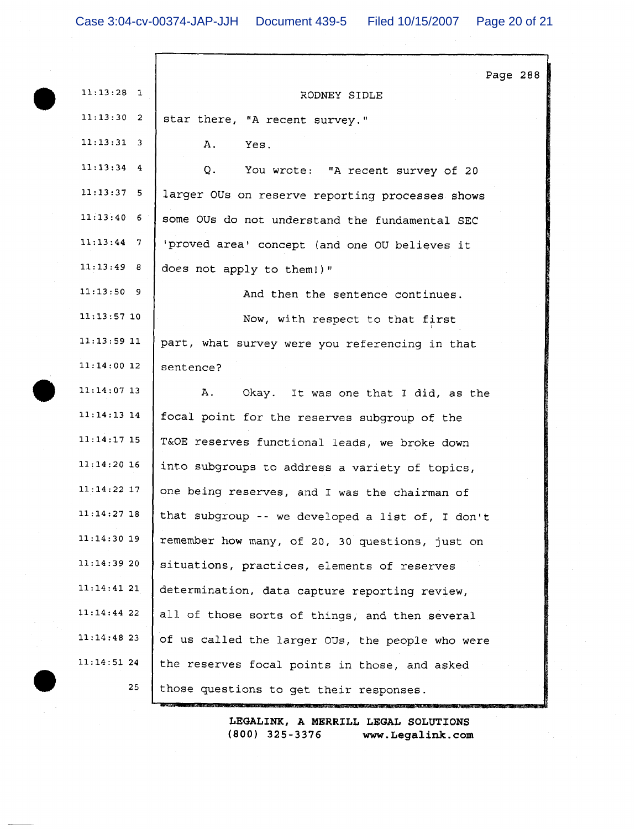|               | Page 288                                         |
|---------------|--------------------------------------------------|
| $11:13:28$ 1  | RODNEY SIDLE                                     |
| 11:13:30 2    | star there, "A recent survey."                   |
| $11:13:31$ 3  | Α.<br>Yes.                                       |
| $11:13:34$ 4  | Q. You wrote: "A recent survey of 20             |
| $11:13:37$ 5  | larger OUs on reserve reporting processes shows  |
| $11:13:40$ 6  | some OUs do not understand the fundamental SEC   |
| $11:13:44$ 7  | 'proved area' concept (and one OU believes it    |
| 11:13:49 8    | does not apply to them!) "                       |
| $11:13:50$ 9  | And then the sentence continues.                 |
| $11:13:57$ 10 | Now, with respect to that first                  |
| $11:13:59$ 11 | part, what survey were you referencing in that   |
| $11:14:00$ 12 | sentence?                                        |
| $11:14:07$ 13 | Α.<br>Okay. It was one that I did, as the        |
| 11:14:13 14   | focal point for the reserves subgroup of the     |
| $11:14:17$ 15 | T&OE reserves functional leads, we broke down    |
| $11:14:20$ 16 | into subgroups to address a variety of topics,   |
| $11:14:22$ 17 | one being reserves, and I was the chairman of    |
| $11:14:27$ 18 | that subgroup -- we developed a list of, I don't |
| $11:14:30$ 19 | remember how many, of 20, 30 questions, just on  |
| 11:14:3920    | situations, practices, elements of reserves      |
| 11:14:4121    | determination, data capture reporting review,    |
| $11:14:44$ 22 | all of those sorts of things, and then several   |
| 11:14:4823    | of us called the larger OUs, the people who were |
| 11:14:5124    | the reserves focal points in those, and asked    |
| 25            | those questions to get their responses.          |